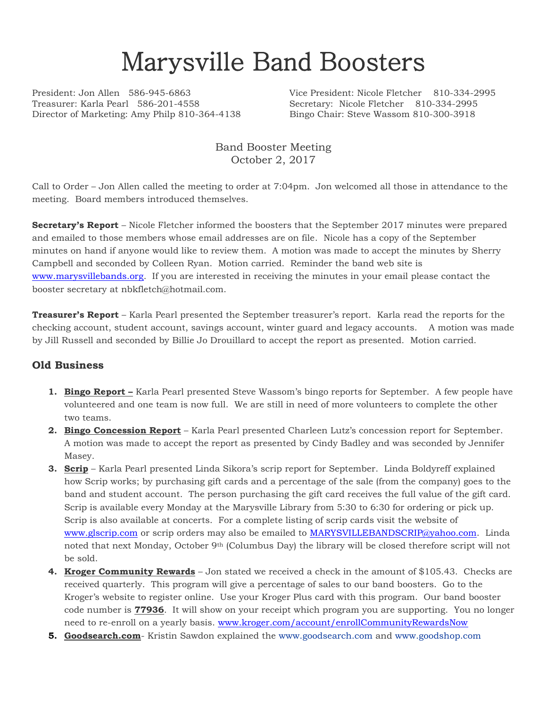# Marysville Band Boosters

Treasurer: Karla Pearl 586-201-4558 Secretary: Nicole Fletcher 810-334-2995 Director of Marketing: Amy Philp 810-364-4138 Bingo Chair: Steve Wassom 810-300-3918

President: Jon Allen 586-945-6863 Vice President: Nicole Fletcher 810-334-2995

Band Booster Meeting October 2, 2017

Call to Order – Jon Allen called the meeting to order at 7:04pm. Jon welcomed all those in attendance to the meeting. Board members introduced themselves.

**Secretary's Report** – Nicole Fletcher informed the boosters that the September 2017 minutes were prepared and emailed to those members whose email addresses are on file. Nicole has a copy of the September minutes on hand if anyone would like to review them. A motion was made to accept the minutes by Sherry Campbell and seconded by Colleen Ryan. Motion carried. Reminder the band web site is [www.marysvillebands.org.](http://www.marysvillebands.org/) If you are interested in receiving the minutes in your email please contact the booster secretary at nbkfletch@hotmail.com.

**Treasurer's Report** – Karla Pearl presented the September treasurer's report. Karla read the reports for the checking account, student account, savings account, winter guard and legacy accounts. A motion was made by Jill Russell and seconded by Billie Jo Drouillard to accept the report as presented. Motion carried.

#### **Old Business**

- **1. Bingo Report –** Karla Pearl presented Steve Wassom's bingo reports for September. A few people have volunteered and one team is now full. We are still in need of more volunteers to complete the other two teams.
- **2. Bingo Concession Report** Karla Pearl presented Charleen Lutz's concession report for September. A motion was made to accept the report as presented by Cindy Badley and was seconded by Jennifer Masey.
- **3. Scrip** Karla Pearl presented Linda Sikora's scrip report for September. Linda Boldyreff explained how Scrip works; by purchasing gift cards and a percentage of the sale (from the company) goes to the band and student account. The person purchasing the gift card receives the full value of the gift card. Scrip is available every Monday at the Marysville Library from 5:30 to 6:30 for ordering or pick up. Scrip is also available at concerts. For a complete listing of scrip cards visit the website of [www.glscrip.com](http://www.glscrip.com/) or scrip orders may also be emailed to [MARYSVILLEBANDSCRIP@yahoo.com.](mailto:MARYSVILLEBANDSCRIP@yahoo.com) Linda noted that next Monday, October 9th (Columbus Day) the library will be closed therefore script will not be sold.
- **4. Kroger Community Rewards** Jon stated we received a check in the amount of \$105.43. Checks are received quarterly. This program will give a percentage of sales to our band boosters. Go to the Kroger's website to register online. Use your Kroger Plus card with this program. Our band booster code number is **77936**. It will show on your receipt which program you are supporting. You no longer need to re-enroll on a yearly basis. [www.kroger.com/account/enrollCommunityRewardsNow](http://www.kroger.com/account/enrollCommunityRewardsNow)
- **5. Goodsearch.com** Kristin Sawdon explained the [www.goodsearch.com](http://www.goodsearch.com/) and [www.goodshop.com](http://www.goodshop.com/)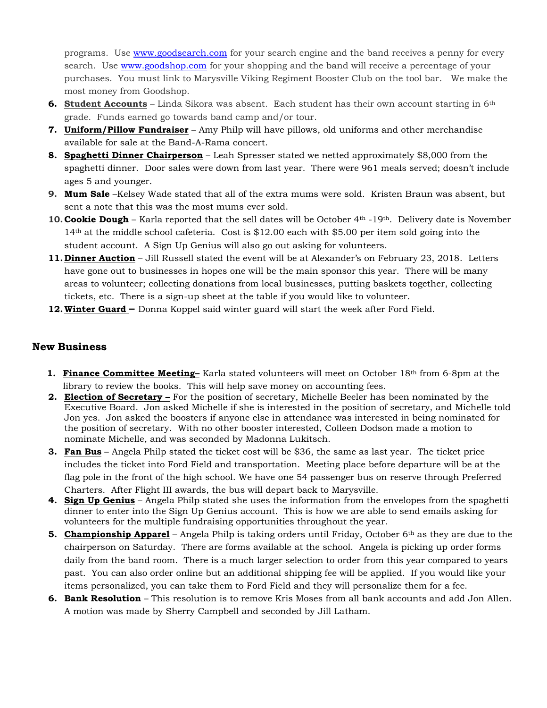programs. Use [www.goodsearch.com](http://www.goodsearch.com/) for your search engine and the band receives a penny for every search. Use [www.goodshop.com](http://www.goodshop.com/) for your shopping and the band will receive a percentage of your purchases. You must link to Marysville Viking Regiment Booster Club on the tool bar. We make the most money from Goodshop.

- **6. Student Accounts** Linda Sikora was absent. Each student has their own account starting in 6th grade. Funds earned go towards band camp and/or tour.
- **7. Uniform/Pillow Fundraiser** Amy Philp will have pillows, old uniforms and other merchandise available for sale at the Band-A-Rama concert.
- **8. Spaghetti Dinner Chairperson** Leah Spresser stated we netted approximately \$8,000 from the spaghetti dinner. Door sales were down from last year. There were 961 meals served; doesn't include ages 5 and younger.
- **9. Mum Sale** –Kelsey Wade stated that all of the extra mums were sold. Kristen Braun was absent, but sent a note that this was the most mums ever sold.
- **10. Cookie Dough** Karla reported that the sell dates will be October 4<sup>th</sup> -19<sup>th</sup>. Delivery date is November 14th at the middle school cafeteria. Cost is \$12.00 each with \$5.00 per item sold going into the student account. A Sign Up Genius will also go out asking for volunteers.
- **11.Dinner Auction** Jill Russell stated the event will be at Alexander's on February 23, 2018. Letters have gone out to businesses in hopes one will be the main sponsor this year. There will be many areas to volunteer; collecting donations from local businesses, putting baskets together, collecting tickets, etc. There is a sign-up sheet at the table if you would like to volunteer.
- **12.Winter Guard –** Donna Koppel said winter guard will start the week after Ford Field.

#### **New Business**

- **1. Finance Committee Meeting–** Karla stated volunteers will meet on October 18th from 6-8pm at the library to review the books. This will help save money on accounting fees.
- **2. Election of Secretary –** For the position of secretary, Michelle Beeler has been nominated by the Executive Board. Jon asked Michelle if she is interested in the position of secretary, and Michelle told Jon yes. Jon asked the boosters if anyone else in attendance was interested in being nominated for the position of secretary. With no other booster interested, Colleen Dodson made a motion to nominate Michelle, and was seconded by Madonna Lukitsch.
- **3. Fan Bus** Angela Philp stated the ticket cost will be \$36, the same as last year. The ticket price includes the ticket into Ford Field and transportation. Meeting place before departure will be at the flag pole in the front of the high school. We have one 54 passenger bus on reserve through Preferred Charters. After Flight III awards, the bus will depart back to Marysville.
- **4. Sign Up Genius** Angela Philp stated she uses the information from the envelopes from the spaghetti dinner to enter into the Sign Up Genius account. This is how we are able to send emails asking for volunteers for the multiple fundraising opportunities throughout the year.
- **5. Championship Apparel** Angela Philp is taking orders until Friday, October 6th as they are due to the chairperson on Saturday. There are forms available at the school. Angela is picking up order forms daily from the band room. There is a much larger selection to order from this year compared to years past. You can also order online but an additional shipping fee will be applied. If you would like your items personalized, you can take them to Ford Field and they will personalize them for a fee.
- **6. Bank Resolution** This resolution is to remove Kris Moses from all bank accounts and add Jon Allen. A motion was made by Sherry Campbell and seconded by Jill Latham.